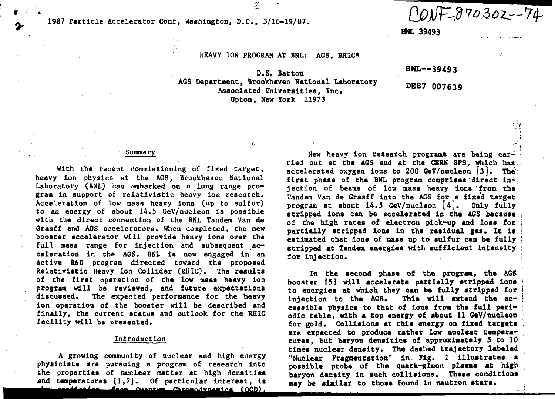PONF 870302-74

r. I

# **1987 Particle Accelerator Conf, Washington, D.C., 3/16-19/87.**

**BNL 39493**

#### HEAVY ION PROGRAM AT BNL: AGS, RHIC\*

 $\mathcal{R}$ 

**BNL—39493**

**DE87 007639**

D.S. **Barton** AGS Department, Brookhaven **National Laboratory Associated Universities, Inc. Upton, New York 11973**

#### **Summary**

**With the recent commissioning of fixed target, heavy ion physics at the AGS, Brookhaven National Laboratory (BNL) has embarked on a long range program in support of relativistic heavy ion research. Acceleration of low mass heavy ions (up to sulfur) to an energy of about 14.5 GeV/nucleon is possible with the direct connection of the BNL Tandem Van de Graaff and AGS accelerators. When completed, the new booster accelerator will provide heavy ions over the** full mass range for injection and subsequent acceleration in the AGS. BNL is now engaged in an **active R&D program directed toward the proposed Relativistic Heavy Ion Collider (RHIC). The results of the first operation of the low mass heavy ion program will be reviewed, and future expectations discussed. The expected performance for the heavy ion operation of the booster will be described and finally, the current status and outlook for the RHIC facility will be presented.**

## **Introduction**

**A growing community of nuclear and high energy physicists are pursuing a program of research into the properties of nuclear matter at high densities and temperatures [1,2]. Of particular interest, is** endinates from Ouentum Chromodynamics (OCD).

New heavy ion research programs are being car-<sup>7</sup> **ried out at the AGS and at the CSRN SPS, which has: accelerated oxygen ions to 200 GeV/nucleon [3J. The first phase of the BNL program comprises direct injection of beams of low mass heavy ions from the ; Tandem Van de Graaff into the AGS for a fixed target : program at about 14.5 GeV/nucleon [4]. Only fully ;** stripped ions can be accelerated in the AGS because **of the high rates of electron pick-up and loss for:j partially stripped ions in the residual gas. It is j estimated that ions of mass up to sulfur can be fully • stripped at Tandem energies with sufficient intensity ; for injection. ;**

**In the second phase of the program, the AGS ' booster [5] will accelerate partially stripped ions ' to energies at which they can be fully stripped for j** injection to the AGS. This will extend the ac**cessible physics to th&t of ions from the full peri- ; odlc table, with a top energy of about 11 GeV/nucleon : for gold. Collisions at this energy on fixed targets are expected to produce rather low nuclear tempera- . tures, but baryon densities of approximately 5 to 10 times nuclear density. The dashed trajectory labeled "Nuclear Fragmentation" in. Fig. 1 illustrates a " possible probe of the quark-gluon plasaa at high baryon density in such collisions. These conditions nay be similar to those found in neutron stars. .**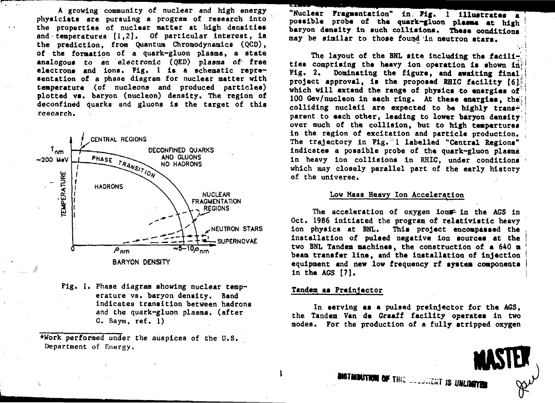**A growing community of nuclear and high energy physicists are pursuing a program of research into the properties of nuclear natter at high densities and temperatures [1,2]. Of particular interest, is the prediction, from Quantum Chronodynamics (QCD), of the formation of a quark-gluon plasma, a state analogous to an electronic (QED) plasma of" free electrons and ions. Fig. 1 is a schematic representation of a phase diagram for nuclear matter with temperature (of nucleons and produced particles) plotted vs. baryon (nucleon) density. The region of deconfined quarks and gluons is the target of this research.**



**Pig. 1. Phase diagram showing nuclear temperature vs. baryon density. Band indicates transition between hadrons and the quark-gluon plasma, (after G. Bayra, ref. 1)**

**\*Work performed under the auspices of the U»S. Department of Energy.**

**"Nuclear Fragmentation" in. Fig. 1 illustrates a possible probe of the quark-gluon plasma at high baryon density In such collisions. These conditions** may be similar to those found in neutron stars.

**The layout of the BNL site including the facili**ties comprising the heavy ion operation is shown in<sup>2</sup> **Fig. 2. Dominating the figure, and awaiting final' project approval, is the proposed RHIC facility [6]j> which will extend the range of physics to energies of 100 Gev/nudeon in each ring. At these energies, the;** colliding nucleii are expected to be highly trans**parent to each other, leading to lower baryon density over much of the collision, but to high tempertures in the region of excitation and particle production.** The trajectory in Fig.<sup>1</sup>1 labelled "Central Regions" **indicates a possible probe of the quark-gluon plasma in heavy ion collisions in RHIC, under conditions ' which may closely parallel part of the early history of the universe.**

#### **Low Mas8 Heavy Ion Acceleration**

**The acceleration of oxygen lour- in the AGS in Oct. 1986 initiated the program of relativistic heavy ion physics at BNL. This project encompassed the . installation of pulsed negative ion sources at the ' two BNL Tandem machines, the construction of a 640 a ! beam transfer line, and the installation of injection ' equipment and new low frequency rf system components i in the AGS [7]. \**

## **Tandem as Preinjector**

**In serving as a pulsed preinjector for the AGS, the Tandem Van de Graaff facility operates in two modes. For the production of a fully stripped oxygen**

**DISTRIBUTION OF THE SUBJECT IS UNLIMITED** 

**MADILE**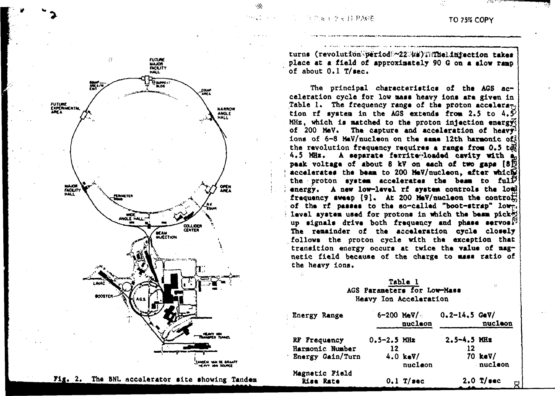$\cdot\cdot\cdot$ 

#### (3) Place 空火 日 PARE

# **TO 7S5S COPY**





turns (revolution period ~22.U«)Ti(Thelinjection takes **place at a field of approximately 90 6 on a slow ramp** of about 0.1 T/sec.

**The principal characteristics of the ACS acceleration cycle for low mass heavy ions are given in** Table 1. The frequency range of the proton acceleration rf system in the AGS extends from  $2.5$  to  $4.5$ <sup> $\circ$ </sup> **MHz, which is matched to the proton injection energy^ of 200 MeV. The capture and acceleration of heavy<sup>1</sup>\* ions of 6-8 MeV/nudeon on the same 12th harmonic ofj** the revolution frequency requires a range from 0.5 to **4.5 MHz. A separate ferrite-loaded cavity with** peak voltage of about 8 kV on each of two gaps [8<sup>f]</sup> accelerates the beam to 200 MeV/nucleon, after which **the proton system accelerates the beam to ful energy. A new low-level rf system controls the lo' frequency sweep [9]. At 200 MeV/nucleon the contro** of the rf passes to the so-called "boot-strap" low<sub>n</sub>, **level system used for protons in which the beam pick' up signals drive both frequency and phase servos I'<sup>J</sup> The remainder of the acceleration cycle closely follows the proton cycle with the exception that transition energy occurs at twice the value of magnetic field because of the charge to mass ratio of the heavy ions.**

# **Table 1 AGS Parameters for Low-Mass Heavy Ion Acceleration**

| <b>Energy Range</b><br>A.   |                 | $6 - 200$ MeV/<br>nucleon    | $0.2 - 14.5$ GeV/ | nucleon            |
|-----------------------------|-----------------|------------------------------|-------------------|--------------------|
| RF Frequency                | $0.5 - 2.5$ MHz |                              | $2.5 - 4.5$ MHz   |                    |
| Harmonic Number             | 12              |                              | 12                |                    |
| Energy Gain/Turn            |                 | $4.0 \text{ keV}$<br>nucleon |                   | 70 keV/<br>nucleon |
| Magnetic Field<br>Rise Rate |                 | 0.1 T/sec                    |                   | $2.0$ T/sec<br>ç   |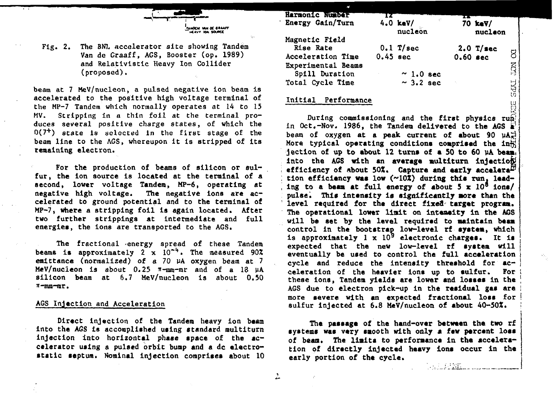**Fig. 2. The BNJ- accelerator site showing Tandem Van de Graaff, AGS, Booster (op. 1989) and Relatlvlstlc Heavy Ion Collider (proposed).**

**beam at 7 MeV/nucleon, a pulsed negative ion beam is accelerated to the positive high voltage terminal of the MP-7 Tandem which normally operates at 14 to 15 MV. Stripping in a thin foil at the terminal produces several positive charge states, of which the 0(7<sup>+</sup>) state is selected In the first stage of the beam line to the AGS, whereupon it is stripped of its remaining electron.**

**For the production of beams of silicon or sulfur, the ion source is located at the terminal of a second, lower voltage Tandem, MP-6, operating at negative high voltage. The negative ions are accelerated to ground potential and to the terminal of MP-7, where a stripping foil is again located. After two further strippings at intermediate and full energies, the Ions are transported to the AGS.**

**The fractional energy spread of these Tandem beams Is approximately 2 x lO"<sup>4</sup>. The measured 902** emittance (normalized) of a 70 PA oxygen beam at 7 MeV/nucleon is about 0.25  $\pi$ -mm-mr and of a 18 uA **silicon beam at 6.7 MeV/nucleon is about 0.50 if-mra-rar.**

#### **AGS Injection and Acceleration**

**Direct Injection of the Tandem heavy ion beam into the AGS is accomplished using standard multiturn injection into horizontal phase space of the accelerator using a pulsed orbit bump and a dc electrostatic septum. Nominal injection comprises about 10**

| Harmonic Number        |            | $\left\{ \cdot \right\}$     |                       |                    |             |
|------------------------|------------|------------------------------|-----------------------|--------------------|-------------|
| Energy Gain/Turn       |            | $4.0 \text{ keV}$<br>nucleon |                       | 70 keV/<br>nucleon |             |
| Magnetic Field         |            |                              |                       |                    |             |
| Rise Rate              |            | $0.1$ T/sec                  |                       | $2.0$ T/sec        |             |
| Acceleration Time      | $0.45$ sec |                              | $0.60$ sec            |                    | 8.          |
| Experimental Beams     |            |                              |                       |                    | $\vec{S}$   |
| Spill Duration         |            | $\sim$ 1.0 sec               |                       |                    |             |
| Total Cycle Time       |            | $~\sim$ 3.2 sec              | $\sim \kappa_{\rm c}$ |                    |             |
|                        |            |                              |                       |                    | <b>Eddi</b> |
| Performance<br>Initial |            |                              |                       |                    | 1:1         |

During commissioning and the first physics runin Oct.-Nov. 1986, the Tandem delivered to the AGS a<sup>1</sup> **beam of oxygen at a peak current of about 90** More typical operating conditions comprised the  $\text{ln}\ddot{\tilde{H}}$ **jection of up to about 12 turns of a 50 to 60 uA beam,** into the AGS with an average multiturn injection **efficiency of about 50%. Capture and early accelera^ tion efficiency was low (~10X) during this run, lead**ing to a beam at full energy of about  $5 \times 10^8$  ions/ **pulse. This intensity is significantly more than the** level required for the direct fixed target program. **The operational lower limit on intensity in the AGS will be set by the level required to maintain beam control in the bootstrap low-level rf system, which** is approximately  $1 \times 10^9$  electronic charges. It is **expected that the new low-level rf system will eventually be used to control the full acceleration** cycle and reduce the intensity threshold for ac**celeration of the heavier ions up to sulfur. For these ions, Tandem yields are lower and losses in the AGS due to electron pick-up in the residual gas are more severe with an expected fractional loss for sulfur Injected at 6.8 MeV/nucleon of about 40-50%.**

**The passage of the hand-over between the two rf systems was very smooth with only a few percent loss of bean. The limits to performance in the acceleration of directly injected heavy ions occur in the early portion of the cycle.**

**ALLENE**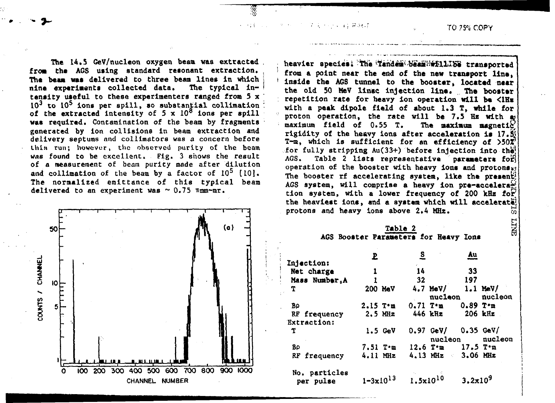**TO 75°6 COPY**

**PI**

The 14.5 GeV/nucleon oxygen beam was extracted from the AGS using standard resonant extraction. **The beam was delivered to three beam lines in Which \ nine experiments collected data. The typical in- i tensity useful to these experimenters ranged from 5 x ' 10<sup>3</sup> to 10<sup>s</sup> ions per spill, so substantial collimation : of the extracted intensity of 5 x 10<sup>8</sup> ions per spill was required. Contamination of the beam by fragments generated by ion collisions in beam extraction and delivery aeptums and collimators was a concern before Hits run; however, the observed purity of the beam was found to be excellent. Fig. 3 shows the result of a measurement of beam purity made after dilution and collimation of the beam by a factor of 10<sup>5</sup> [10]. The normalized emittance of this typical beam delivered to an experiment was ~ 0.75 inmn-mr.**



heavier species; The Tandea beanWwHlIBB transported **from a point near the end of the new transport line, Inside the AGS tunnel to the booster, located near the old 50 MeV linac injection line. The booster repetition rate for heavy ion operation will be <1H\* with a peak dipole field of about 1.3 T, while for proton operation, the rate will be 7.5 Hz with w maximum field of 0.55 T. The maximum magnetic rigidity of the heavy ions after acceleration is 17.& T-m, which is sufficient for an efficiency of >50Z for fully stripping Au(33+) before injection into the! AGS. Table 2 lists representative parameters foifj operation of the booster with heavy ions and protons»i The booster rf accelerating system, like the present^** AGS system, will comprise a heavy ion pre-accelera $\mathcal{L}$ **tlon system, with a lower frequency of 200 kHz foP the heaviest ions, and a system which will accelerate] protons and heavy ions above 2.4 MHz.** òń.

r a shekarar **Daeir** 

|                   |                 | Table 2                                     |                         | ម្ព<br>ស |
|-------------------|-----------------|---------------------------------------------|-------------------------|----------|
|                   |                 | AGS Booster Parameters for Heavy Ions       |                         |          |
| <b>Injection:</b> | Ł               | $\overline{\mathbf{S}}$                     | $\overline{\mathbf{v}}$ |          |
| Net charge        | 1               | 14                                          | 33                      |          |
| Mass Number.A     |                 | 32                                          | 197                     |          |
| Υ                 | 200 MeV         | $4.7$ MeV/<br>nucleon                       | $1.1$ MeV/              | nucleon  |
| B٥                | $2.15$ T $m$    | $0.71$ T $m$                                | $0.89$ T $m$            |          |
| RF frequency      | $2.5$ MHz       | 446 kHz                                     | 206 kHz                 |          |
| Extraction:       |                 |                                             |                         |          |
| T                 | $1.5$ GeV       | $0.97 \text{ GeV}$ 0.35 GeV                 |                         |          |
|                   |                 |                                             | nucleon                 | nucleon  |
| Bρ                | 7.51 T.m        | 12.6 T <sup>o</sup> m 17.5 T <sup>o</sup> m |                         |          |
| RF frequency      | 4.11 MHz        | $4.13$ MHz $3.06$ MHz                       |                         |          |
| No. particles     |                 |                                             |                         |          |
| per pulse         | $1 - 3x10^{13}$ | $1.5x10^{10}$                               | 3.2x10 <sup>9</sup>     |          |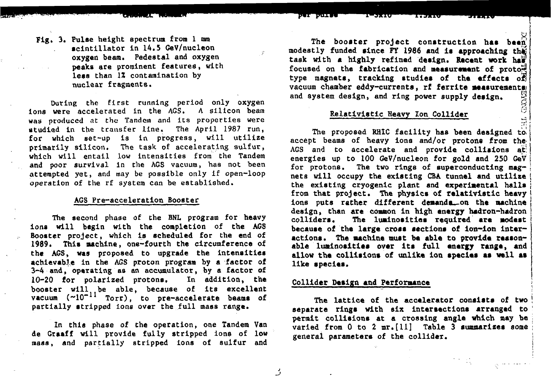**Fig. 3. Pulse height spectrum from 1 mm scintillator in 14.5 GeV/nucleon oxygen beam. Pedestal and oxygen peaks are prominent features, with less than 1% contamination by nuclear fragments.**

**During the first running period only oxygen ions were accelerated in the AGS. A silicon beam was produced at the Tandem and its properties were studied in the transfer line. The April 1987 run, for which set-up is in progress, will utilize primarily silicon. The task of accelerating sulfur, which will entail low intensities from the Tandem and poor survival in the AGS vacuum, has not been attempted yet, and may be possible only if open-loop operation of the rf system can be established.**

# **AGS Pre-acceleration Booster**

**The second phase of the BNL program for heavy ions will begin with the completion of the AGS Booster project, which is scheduled for the end of 1989. This machine, one-fourth the circumference of the AGS, was proposed to upgrade the intensities achievable in the AGS proton program by a factor of 3-4 and, operating as an accumulator, by a factor of 10-20 for polarized protons. In addition, the booster will be able, because of its excellent vacuum (~10~ Torr), to pre-accelerate beams of partially stripped ions over the full mass range.**

**In this phase of the operation, one Tandem Van de Graaff will provide fully stripped ions of low mass, and partially stripped ions of sulfur and**

**The booster project construction has been modestly funded since FY 1986 and it approaching t task with a highly refined design. Recent work focused on the fabrication and measurement of proto§ type magnets, tracking studies of the effects off vacuum chamber eddy-currents, rf ferrlte measurements!** and system design, and ring power supply design. **GXOXE** 

# **Relativistlc Heavy Ion Collider ^**

**The proposed RHIC facility has been designed to! accept beams of heavy ions and/or protons from the, AGS and to accelerate and provide collisions at: energies up to 100 GeV/nucleon for gold and 250 GeV** for protons. The two rings of superconducting mag**nets will occupy the existing CBA tunnel and utilize the existing cryogenic plant and experimental halls from that project. The physics of relativistic heavy ions puts rather different demands—on the aachine design, than are common in high energy hadron-hadron colliders. The luminosities required are modest because of the large cross sections of ion-ion interactions. The aachine must be able to provide reasonable luminosities over its full energy range, and allow the collisions of unlike ion species as well as like species.**

# **Collider Design and Performance \**

na andersander all

**The lattice of the accelerator consists of two ! separate rings with six intersections arranged to ' permit collisions at a crossing angle which may be varied from 0 to 2 mr.fll] Table 3 summarizes some general parameters of the collider.**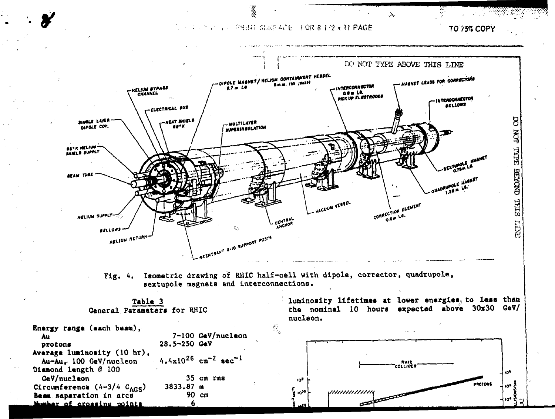•1 1 :.;..;• . **OR 8 ]•'?.\* 11 PACE** T075S COPY

÷Ъ,

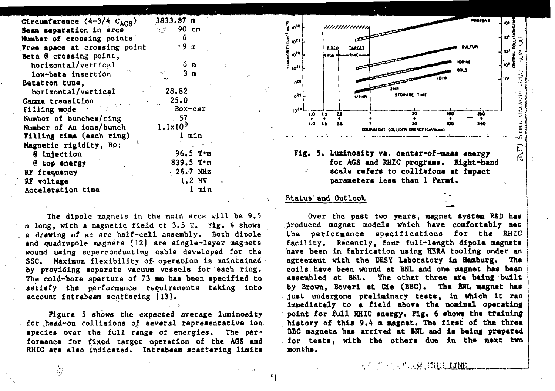| 90 $cm$<br>المستحيلية<br><b>Beam separation in arcs</b><br>6<br>Number of crossing points<br><sup>⊹9</sup> m<br>Free space at crossing point<br>Beta @ crossing point,<br>horizontal/vertical<br>6 m<br>3 <sub>m</sub><br>low-beta insertion<br>Betatron tune,<br>horizontal/vertical<br>28.82<br>$\sim 25.0$<br>Gamma transition<br>Box-car<br>Filling mode<br>57<br>Number of bunches/ring<br>$-1.1x109$<br>Number of Au ions/bunch<br>Filling time (each ring)<br>l min<br>₿<br>Magnetic rigidity, Bo:<br>$96.5$ T $\cdot$ m<br>e injection<br>$839.5$ T $m$<br>@ top energy<br>g.<br>26.7 MHz<br>RF frequency<br>1.2 MV<br>RF voltage<br>min<br>Acceleration time<br>1 | Circumference (4-3/4 C <sub>AGS</sub> ) | 3833.87 m |  |
|----------------------------------------------------------------------------------------------------------------------------------------------------------------------------------------------------------------------------------------------------------------------------------------------------------------------------------------------------------------------------------------------------------------------------------------------------------------------------------------------------------------------------------------------------------------------------------------------------------------------------------------------------------------------------|-----------------------------------------|-----------|--|
|                                                                                                                                                                                                                                                                                                                                                                                                                                                                                                                                                                                                                                                                            |                                         |           |  |
|                                                                                                                                                                                                                                                                                                                                                                                                                                                                                                                                                                                                                                                                            |                                         |           |  |
|                                                                                                                                                                                                                                                                                                                                                                                                                                                                                                                                                                                                                                                                            |                                         |           |  |
|                                                                                                                                                                                                                                                                                                                                                                                                                                                                                                                                                                                                                                                                            |                                         |           |  |
|                                                                                                                                                                                                                                                                                                                                                                                                                                                                                                                                                                                                                                                                            |                                         |           |  |
|                                                                                                                                                                                                                                                                                                                                                                                                                                                                                                                                                                                                                                                                            |                                         |           |  |
|                                                                                                                                                                                                                                                                                                                                                                                                                                                                                                                                                                                                                                                                            |                                         |           |  |
|                                                                                                                                                                                                                                                                                                                                                                                                                                                                                                                                                                                                                                                                            |                                         |           |  |
|                                                                                                                                                                                                                                                                                                                                                                                                                                                                                                                                                                                                                                                                            |                                         |           |  |
|                                                                                                                                                                                                                                                                                                                                                                                                                                                                                                                                                                                                                                                                            |                                         |           |  |
|                                                                                                                                                                                                                                                                                                                                                                                                                                                                                                                                                                                                                                                                            |                                         |           |  |
|                                                                                                                                                                                                                                                                                                                                                                                                                                                                                                                                                                                                                                                                            |                                         |           |  |
|                                                                                                                                                                                                                                                                                                                                                                                                                                                                                                                                                                                                                                                                            |                                         |           |  |
|                                                                                                                                                                                                                                                                                                                                                                                                                                                                                                                                                                                                                                                                            |                                         |           |  |
|                                                                                                                                                                                                                                                                                                                                                                                                                                                                                                                                                                                                                                                                            |                                         |           |  |
|                                                                                                                                                                                                                                                                                                                                                                                                                                                                                                                                                                                                                                                                            |                                         |           |  |
|                                                                                                                                                                                                                                                                                                                                                                                                                                                                                                                                                                                                                                                                            |                                         |           |  |
|                                                                                                                                                                                                                                                                                                                                                                                                                                                                                                                                                                                                                                                                            |                                         |           |  |
|                                                                                                                                                                                                                                                                                                                                                                                                                                                                                                                                                                                                                                                                            |                                         |           |  |

**The dipole magnets in the main arcs will be 9.5 m long, with a magnetic field of 3.5 X. Fig. 4 shows a drawing of an arc half-cell assembly. Both dipole and quadrupole magnets [12] are single-layer magnets wound using superconducting cable developed for the SSC. Maximum flexibility of operation is maintained by providing separate vacuum vessels for each ring. The cold-bore aperture of 73 mm has been specified to satisfy the performance requirements taking into account intrabeara scattering [13].**

**Figure 5 shows the expected average luminosity for head-on collisions of several representative Ion species over the full range of energies. The performance for fixed target operation of the AGS and RHIC are also indicated. Intrabeam scattering limits**

I'n



**Fig. 5. Luminosity vs. center-of-aass energy for AGS and RHIC programs. Sight-hand scale refers to collisions at impact parameters less than 1 Fermi.**

#### **Status and Outlook**

**Over the past two years, magnet system R&D has** produced magnet models which have comfortably met **the performance specifications for the RHIC facility. Recently, four full-length dipole magnets have been in fabrication using HERA tooling under an agreement with the DESY Laboratory in Hamburg. The coils have been wound at BNL and one magnet has been assembled at BNL. The other three are being built by Brown, Boveri et Cie (BBC). The BNL magnet has just undergone preliminary tests, in which it ran immediately to a field above the nominal operating point for full RHIC energy. Fig. 6 shows the training history of this 9.4 m aagnet. The first of the three BBC magnets has arrived at BNL and it being prepared for tests, with the others due in the next two months.**

**THE SEAR MANUS LINE**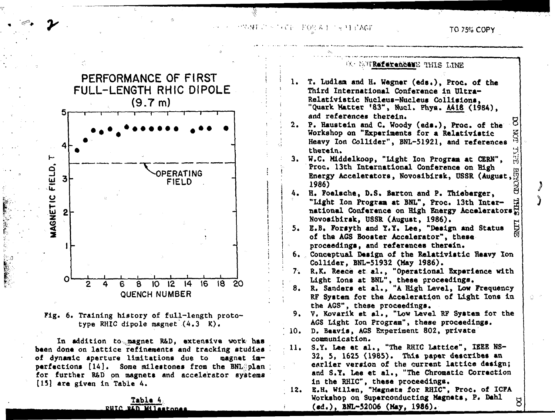**••-N T • • •: M** TO 75% COPY